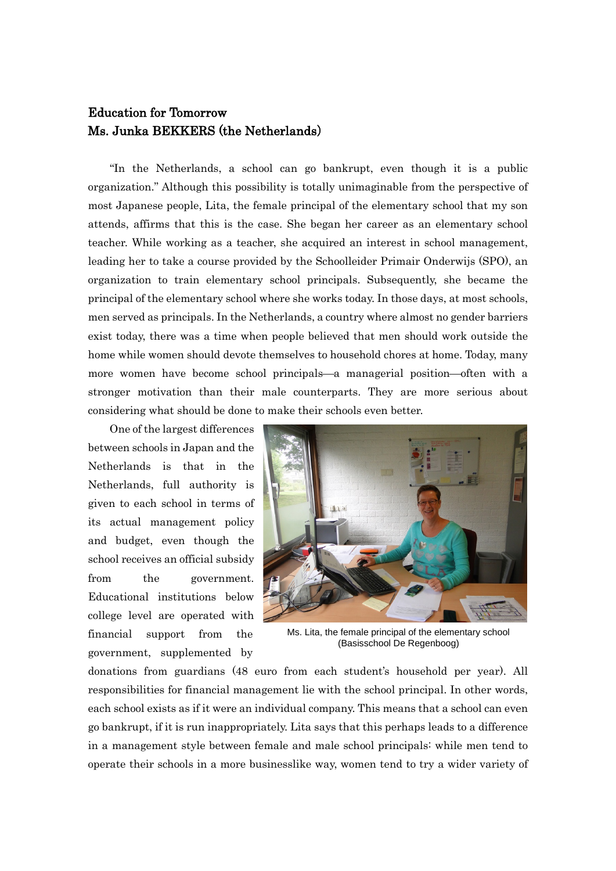## Education for Tomorrow Ms. Junka BEKKERS (the Netherlands)

"In the Netherlands, a school can go bankrupt, even though it is a public organization." Although this possibility is totally unimaginable from the perspective of most Japanese people, Lita, the female principal of the elementary school that my son attends, affirms that this is the case. She began her career as an elementary school teacher. While working as a teacher, she acquired an interest in school management, leading her to take a course provided by the Schoolleider Primair Onderwijs (SPO), an organization to train elementary school principals. Subsequently, she became the principal of the elementary school where she works today. In those days, at most schools, men served as principals. In the Netherlands, a country where almost no gender barriers exist today, there was a time when people believed that men should work outside the home while women should devote themselves to household chores at home. Today, many more women have become school principals—a managerial position—often with a stronger motivation than their male counterparts. They are more serious about considering what should be done to make their schools even better.

One of the largest differences between schools in Japan and the Netherlands is that in the Netherlands, full authority is given to each school in terms of its actual management policy and budget, even though the school receives an official subsidy from the government. Educational institutions below college level are operated with financial support from the government, supplemented by



Ms. Lita, the female principal of the elementary school (Basisschool De Regenboog)

donations from guardians (48 euro from each student's household per year). All responsibilities for financial management lie with the school principal. In other words, each school exists as if it were an individual company. This means that a school can even go bankrupt, if it is run inappropriately. Lita says that this perhaps leads to a difference in a management style between female and male school principals: while men tend to operate their schools in a more businesslike way, women tend to try a wider variety of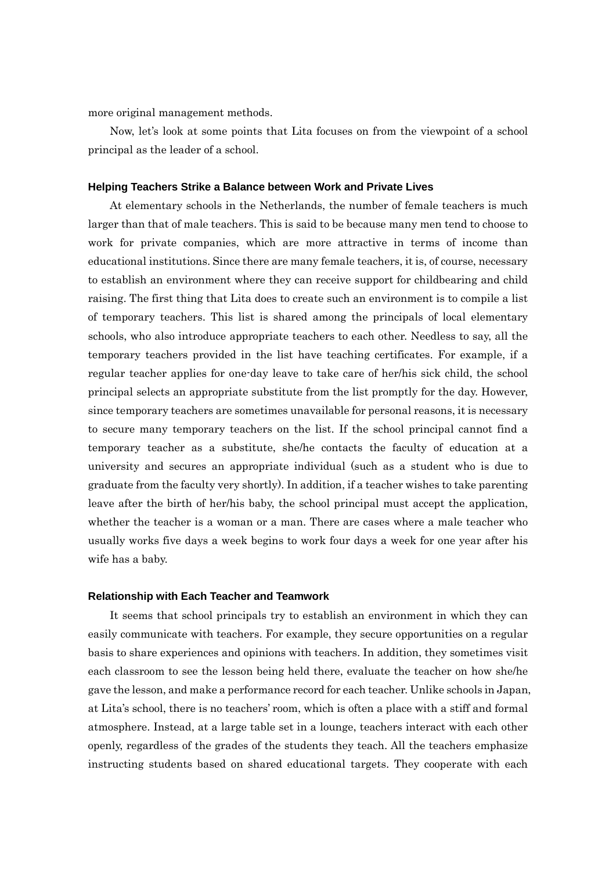more original management methods.

Now, let's look at some points that Lita focuses on from the viewpoint of a school principal as the leader of a school.

## **Helping Teachers Strike a Balance between Work and Private Lives**

At elementary schools in the Netherlands, the number of female teachers is much larger than that of male teachers. This is said to be because many men tend to choose to work for private companies, which are more attractive in terms of income than educational institutions. Since there are many female teachers, it is, of course, necessary to establish an environment where they can receive support for childbearing and child raising. The first thing that Lita does to create such an environment is to compile a list of temporary teachers. This list is shared among the principals of local elementary schools, who also introduce appropriate teachers to each other. Needless to say, all the temporary teachers provided in the list have teaching certificates. For example, if a regular teacher applies for one-day leave to take care of her/his sick child, the school principal selects an appropriate substitute from the list promptly for the day. However, since temporary teachers are sometimes unavailable for personal reasons, it is necessary to secure many temporary teachers on the list. If the school principal cannot find a temporary teacher as a substitute, she/he contacts the faculty of education at a university and secures an appropriate individual (such as a student who is due to graduate from the faculty very shortly). In addition, if a teacher wishes to take parenting leave after the birth of her/his baby, the school principal must accept the application, whether the teacher is a woman or a man. There are cases where a male teacher who usually works five days a week begins to work four days a week for one year after his wife has a baby.

## **Relationship with Each Teacher and Teamwork**

It seems that school principals try to establish an environment in which they can easily communicate with teachers. For example, they secure opportunities on a regular basis to share experiences and opinions with teachers. In addition, they sometimes visit each classroom to see the lesson being held there, evaluate the teacher on how she/he gave the lesson, and make a performance record for each teacher. Unlike schools in Japan, at Lita's school, there is no teachers' room, which is often a place with a stiff and formal atmosphere. Instead, at a large table set in a lounge, teachers interact with each other openly, regardless of the grades of the students they teach. All the teachers emphasize instructing students based on shared educational targets. They cooperate with each